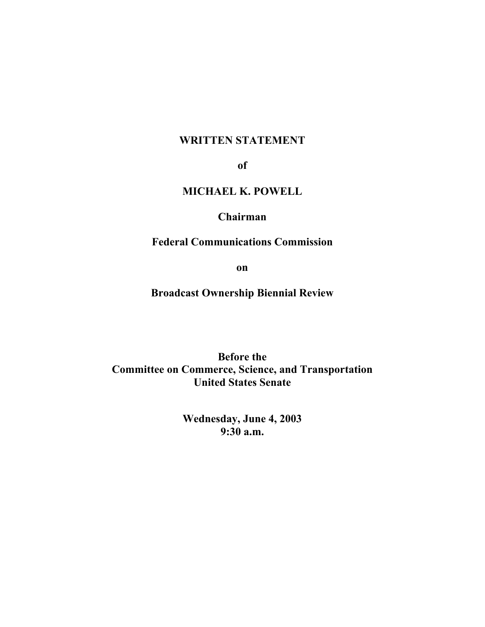## **WRITTEN STATEMENT**

**of** 

# **MICHAEL K. POWELL**

## **Chairman**

## **Federal Communications Commission**

**on** 

**Broadcast Ownership Biennial Review** 

**Before the Committee on Commerce, Science, and Transportation United States Senate** 

> **Wednesday, June 4, 2003 9:30 a.m.**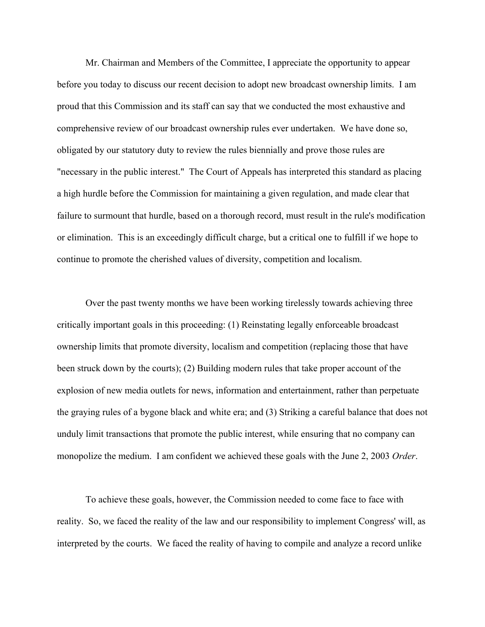Mr. Chairman and Members of the Committee, I appreciate the opportunity to appear before you today to discuss our recent decision to adopt new broadcast ownership limits. I am proud that this Commission and its staff can say that we conducted the most exhaustive and comprehensive review of our broadcast ownership rules ever undertaken. We have done so, obligated by our statutory duty to review the rules biennially and prove those rules are "necessary in the public interest." The Court of Appeals has interpreted this standard as placing a high hurdle before the Commission for maintaining a given regulation, and made clear that failure to surmount that hurdle, based on a thorough record, must result in the rule's modification or elimination. This is an exceedingly difficult charge, but a critical one to fulfill if we hope to continue to promote the cherished values of diversity, competition and localism.

Over the past twenty months we have been working tirelessly towards achieving three critically important goals in this proceeding: (1) Reinstating legally enforceable broadcast ownership limits that promote diversity, localism and competition (replacing those that have been struck down by the courts); (2) Building modern rules that take proper account of the explosion of new media outlets for news, information and entertainment, rather than perpetuate the graying rules of a bygone black and white era; and (3) Striking a careful balance that does not unduly limit transactions that promote the public interest, while ensuring that no company can monopolize the medium. I am confident we achieved these goals with the June 2, 2003 *Order*.

To achieve these goals, however, the Commission needed to come face to face with reality. So, we faced the reality of the law and our responsibility to implement Congress' will, as interpreted by the courts. We faced the reality of having to compile and analyze a record unlike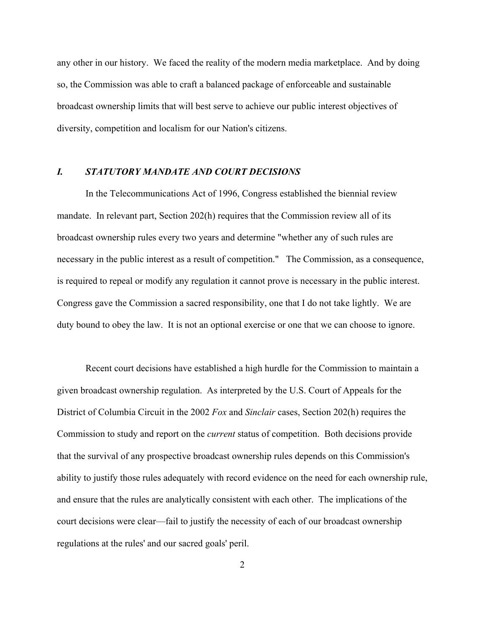any other in our history. We faced the reality of the modern media marketplace. And by doing so, the Commission was able to craft a balanced package of enforceable and sustainable broadcast ownership limits that will best serve to achieve our public interest objectives of diversity, competition and localism for our Nation's citizens.

### *I. STATUTORY MANDATE AND COURT DECISIONS*

In the Telecommunications Act of 1996, Congress established the biennial review mandate. In relevant part, Section 202(h) requires that the Commission review all of its broadcast ownership rules every two years and determine "whether any of such rules are necessary in the public interest as a result of competition." The Commission, as a consequence, is required to repeal or modify any regulation it cannot prove is necessary in the public interest. Congress gave the Commission a sacred responsibility, one that I do not take lightly. We are duty bound to obey the law. It is not an optional exercise or one that we can choose to ignore.

Recent court decisions have established a high hurdle for the Commission to maintain a given broadcast ownership regulation. As interpreted by the U.S. Court of Appeals for the District of Columbia Circuit in the 2002 *Fox* and *Sinclair* cases, Section 202(h) requires the Commission to study and report on the *current* status of competition. Both decisions provide that the survival of any prospective broadcast ownership rules depends on this Commission's ability to justify those rules adequately with record evidence on the need for each ownership rule, and ensure that the rules are analytically consistent with each other. The implications of the court decisions were clear—fail to justify the necessity of each of our broadcast ownership regulations at the rules' and our sacred goals' peril.

2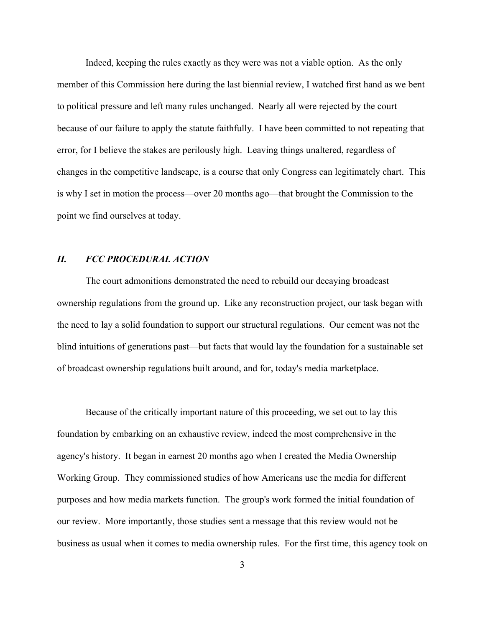Indeed, keeping the rules exactly as they were was not a viable option. As the only member of this Commission here during the last biennial review, I watched first hand as we bent to political pressure and left many rules unchanged. Nearly all were rejected by the court because of our failure to apply the statute faithfully. I have been committed to not repeating that error, for I believe the stakes are perilously high. Leaving things unaltered, regardless of changes in the competitive landscape, is a course that only Congress can legitimately chart. This is why I set in motion the process—over 20 months ago—that brought the Commission to the point we find ourselves at today.

### *II. FCC PROCEDURAL ACTION*

The court admonitions demonstrated the need to rebuild our decaying broadcast ownership regulations from the ground up. Like any reconstruction project, our task began with the need to lay a solid foundation to support our structural regulations. Our cement was not the blind intuitions of generations past—but facts that would lay the foundation for a sustainable set of broadcast ownership regulations built around, and for, today's media marketplace.

Because of the critically important nature of this proceeding, we set out to lay this foundation by embarking on an exhaustive review, indeed the most comprehensive in the agency's history. It began in earnest 20 months ago when I created the Media Ownership Working Group. They commissioned studies of how Americans use the media for different purposes and how media markets function. The group's work formed the initial foundation of our review. More importantly, those studies sent a message that this review would not be business as usual when it comes to media ownership rules. For the first time, this agency took on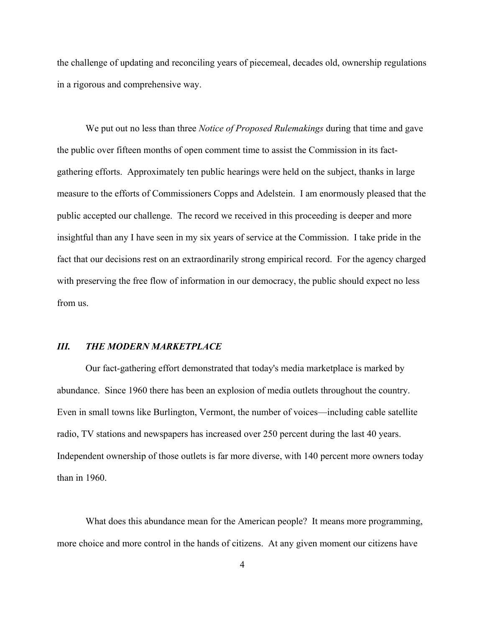the challenge of updating and reconciling years of piecemeal, decades old, ownership regulations in a rigorous and comprehensive way.

We put out no less than three *Notice of Proposed Rulemakings* during that time and gave the public over fifteen months of open comment time to assist the Commission in its factgathering efforts. Approximately ten public hearings were held on the subject, thanks in large measure to the efforts of Commissioners Copps and Adelstein. I am enormously pleased that the public accepted our challenge. The record we received in this proceeding is deeper and more insightful than any I have seen in my six years of service at the Commission. I take pride in the fact that our decisions rest on an extraordinarily strong empirical record. For the agency charged with preserving the free flow of information in our democracy, the public should expect no less from us.

#### *III. THE MODERN MARKETPLACE*

Our fact-gathering effort demonstrated that today's media marketplace is marked by abundance. Since 1960 there has been an explosion of media outlets throughout the country. Even in small towns like Burlington, Vermont, the number of voices—including cable satellite radio, TV stations and newspapers has increased over 250 percent during the last 40 years. Independent ownership of those outlets is far more diverse, with 140 percent more owners today than in 1960.

What does this abundance mean for the American people? It means more programming, more choice and more control in the hands of citizens. At any given moment our citizens have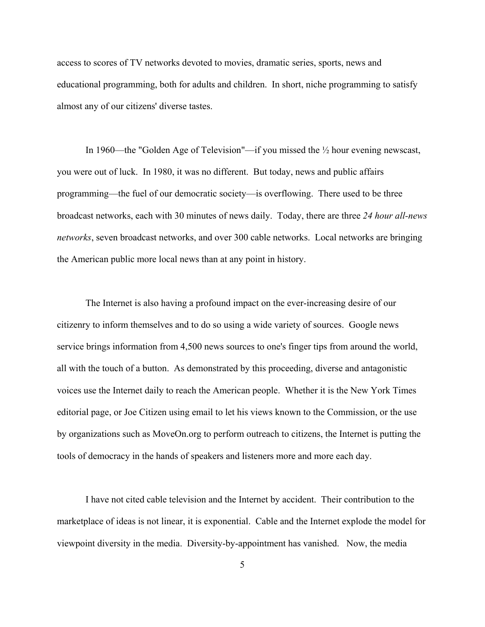access to scores of TV networks devoted to movies, dramatic series, sports, news and educational programming, both for adults and children. In short, niche programming to satisfy almost any of our citizens' diverse tastes.

In 1960—the "Golden Age of Television"—if you missed the ½ hour evening newscast, you were out of luck. In 1980, it was no different. But today, news and public affairs programming—the fuel of our democratic society—is overflowing. There used to be three broadcast networks, each with 30 minutes of news daily. Today, there are three *24 hour all-news networks*, seven broadcast networks, and over 300 cable networks. Local networks are bringing the American public more local news than at any point in history.

The Internet is also having a profound impact on the ever-increasing desire of our citizenry to inform themselves and to do so using a wide variety of sources. Google news service brings information from 4,500 news sources to one's finger tips from around the world, all with the touch of a button. As demonstrated by this proceeding, diverse and antagonistic voices use the Internet daily to reach the American people. Whether it is the New York Times editorial page, or Joe Citizen using email to let his views known to the Commission, or the use by organizations such as MoveOn.org to perform outreach to citizens, the Internet is putting the tools of democracy in the hands of speakers and listeners more and more each day.

I have not cited cable television and the Internet by accident. Their contribution to the marketplace of ideas is not linear, it is exponential. Cable and the Internet explode the model for viewpoint diversity in the media. Diversity-by-appointment has vanished. Now, the media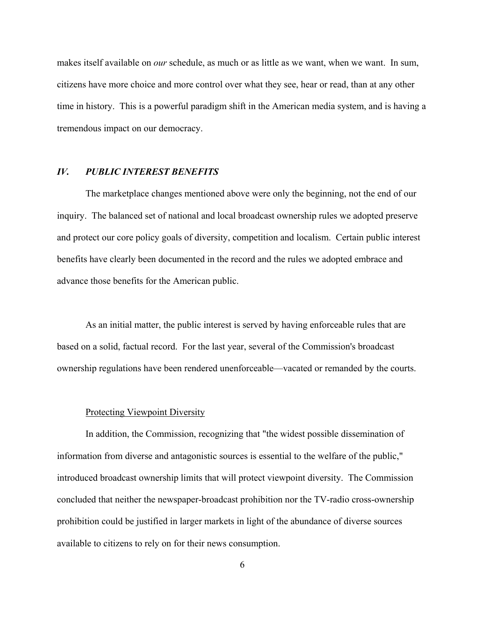makes itself available on *our* schedule, as much or as little as we want, when we want. In sum, citizens have more choice and more control over what they see, hear or read, than at any other time in history. This is a powerful paradigm shift in the American media system, and is having a tremendous impact on our democracy.

#### *IV. PUBLIC INTEREST BENEFITS*

The marketplace changes mentioned above were only the beginning, not the end of our inquiry. The balanced set of national and local broadcast ownership rules we adopted preserve and protect our core policy goals of diversity, competition and localism. Certain public interest benefits have clearly been documented in the record and the rules we adopted embrace and advance those benefits for the American public.

As an initial matter, the public interest is served by having enforceable rules that are based on a solid, factual record. For the last year, several of the Commission's broadcast ownership regulations have been rendered unenforceable—vacated or remanded by the courts.

#### Protecting Viewpoint Diversity

In addition, the Commission, recognizing that "the widest possible dissemination of information from diverse and antagonistic sources is essential to the welfare of the public," introduced broadcast ownership limits that will protect viewpoint diversity. The Commission concluded that neither the newspaper-broadcast prohibition nor the TV-radio cross-ownership prohibition could be justified in larger markets in light of the abundance of diverse sources available to citizens to rely on for their news consumption.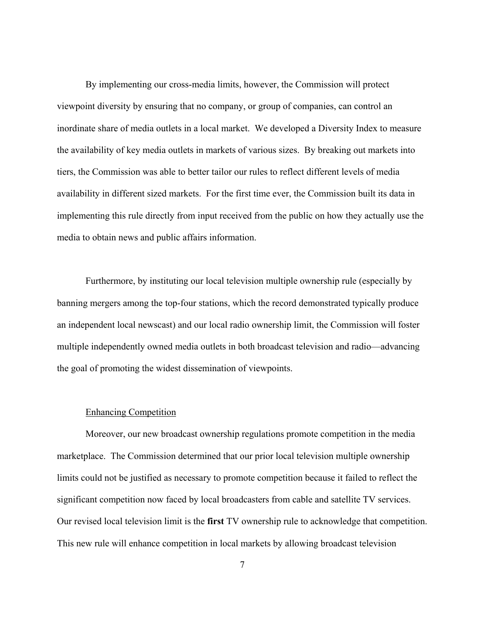By implementing our cross-media limits, however, the Commission will protect viewpoint diversity by ensuring that no company, or group of companies, can control an inordinate share of media outlets in a local market. We developed a Diversity Index to measure the availability of key media outlets in markets of various sizes. By breaking out markets into tiers, the Commission was able to better tailor our rules to reflect different levels of media availability in different sized markets. For the first time ever, the Commission built its data in implementing this rule directly from input received from the public on how they actually use the media to obtain news and public affairs information.

Furthermore, by instituting our local television multiple ownership rule (especially by banning mergers among the top-four stations, which the record demonstrated typically produce an independent local newscast) and our local radio ownership limit, the Commission will foster multiple independently owned media outlets in both broadcast television and radio—advancing the goal of promoting the widest dissemination of viewpoints.

#### Enhancing Competition

Moreover, our new broadcast ownership regulations promote competition in the media marketplace. The Commission determined that our prior local television multiple ownership limits could not be justified as necessary to promote competition because it failed to reflect the significant competition now faced by local broadcasters from cable and satellite TV services. Our revised local television limit is the **first** TV ownership rule to acknowledge that competition. This new rule will enhance competition in local markets by allowing broadcast television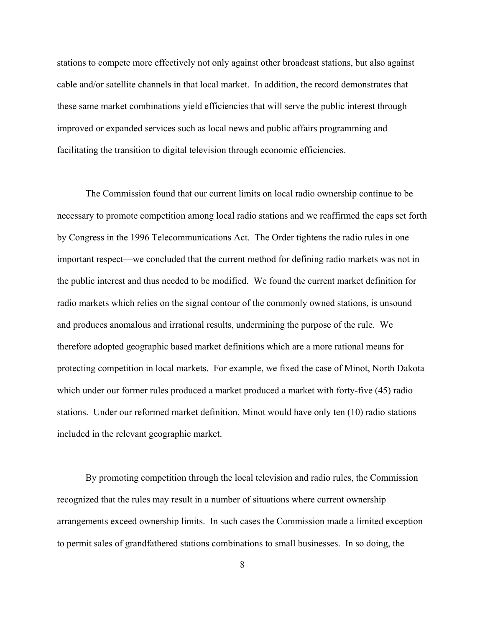stations to compete more effectively not only against other broadcast stations, but also against cable and/or satellite channels in that local market. In addition, the record demonstrates that these same market combinations yield efficiencies that will serve the public interest through improved or expanded services such as local news and public affairs programming and facilitating the transition to digital television through economic efficiencies.

The Commission found that our current limits on local radio ownership continue to be necessary to promote competition among local radio stations and we reaffirmed the caps set forth by Congress in the 1996 Telecommunications Act. The Order tightens the radio rules in one important respect—we concluded that the current method for defining radio markets was not in the public interest and thus needed to be modified. We found the current market definition for radio markets which relies on the signal contour of the commonly owned stations, is unsound and produces anomalous and irrational results, undermining the purpose of the rule. We therefore adopted geographic based market definitions which are a more rational means for protecting competition in local markets. For example, we fixed the case of Minot, North Dakota which under our former rules produced a market produced a market with forty-five (45) radio stations. Under our reformed market definition, Minot would have only ten (10) radio stations included in the relevant geographic market.

By promoting competition through the local television and radio rules, the Commission recognized that the rules may result in a number of situations where current ownership arrangements exceed ownership limits. In such cases the Commission made a limited exception to permit sales of grandfathered stations combinations to small businesses. In so doing, the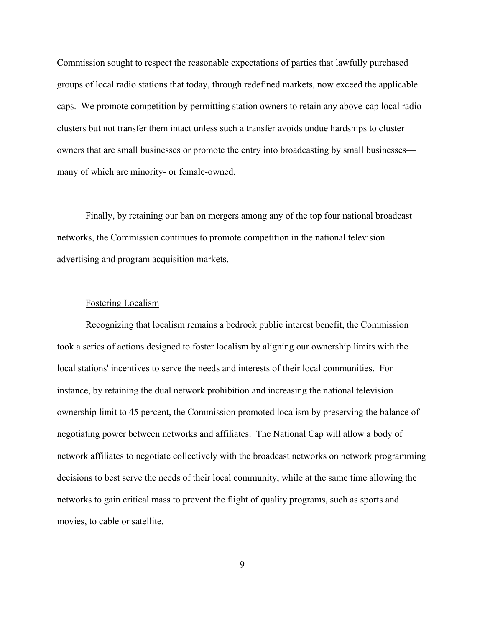Commission sought to respect the reasonable expectations of parties that lawfully purchased groups of local radio stations that today, through redefined markets, now exceed the applicable caps. We promote competition by permitting station owners to retain any above-cap local radio clusters but not transfer them intact unless such a transfer avoids undue hardships to cluster owners that are small businesses or promote the entry into broadcasting by small businesses many of which are minority- or female-owned.

Finally, by retaining our ban on mergers among any of the top four national broadcast networks, the Commission continues to promote competition in the national television advertising and program acquisition markets.

#### Fostering Localism

Recognizing that localism remains a bedrock public interest benefit, the Commission took a series of actions designed to foster localism by aligning our ownership limits with the local stations' incentives to serve the needs and interests of their local communities. For instance, by retaining the dual network prohibition and increasing the national television ownership limit to 45 percent, the Commission promoted localism by preserving the balance of negotiating power between networks and affiliates. The National Cap will allow a body of network affiliates to negotiate collectively with the broadcast networks on network programming decisions to best serve the needs of their local community, while at the same time allowing the networks to gain critical mass to prevent the flight of quality programs, such as sports and movies, to cable or satellite.

9